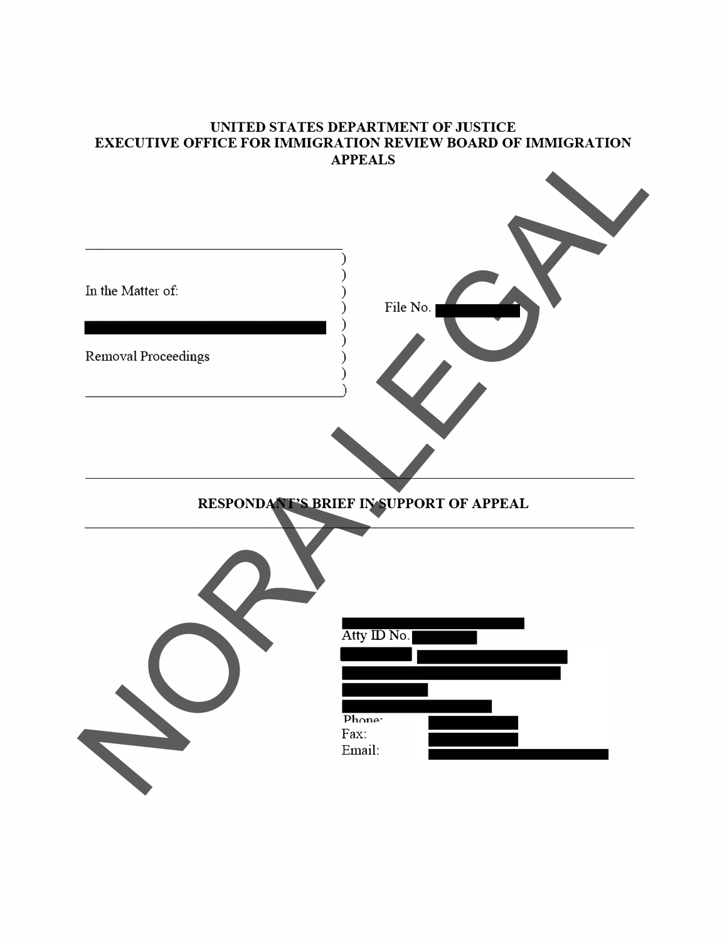#### **UNITED STATES DEPARTMENT OF JUSTICE EXECUTIVE OFFICE FOR IMMIGRATION REVIEW BOARD OF IMMIGRATION APPEALS**

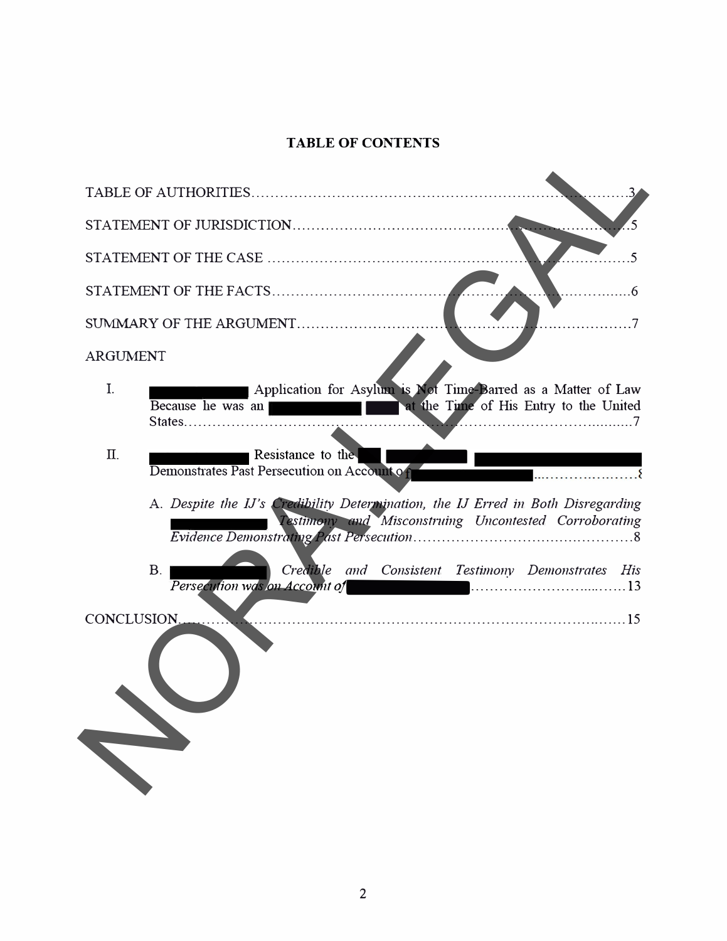# **TABLE OF CONTENTS**

| TABLE OF CONTENTS                                                                                                                                |
|--------------------------------------------------------------------------------------------------------------------------------------------------|
|                                                                                                                                                  |
|                                                                                                                                                  |
|                                                                                                                                                  |
|                                                                                                                                                  |
| SUMMARY OF THE ARGUMENT                                                                                                                          |
| <b>ARGUMENT</b>                                                                                                                                  |
| I.<br>Application for Asylum is Not Time-Barred as a Matter of Law<br>at the Time of His Entry to the United<br>Because he was an                |
| Π.<br>Resistance to the<br>Demonstrates Past Persecution on Account of                                                                           |
| A. Despite the IJ's Credibility Determination, the IJ Erred in Both Disregarding<br><b>Testimony and Misconstruing Uncontested Corroborating</b> |
| B <sub>1</sub><br>Credible and Consistent Testimony Demonstrates His<br>Persecution was on Account of The Contract Contract Contract 13          |
| CONCLUSION.                                                                                                                                      |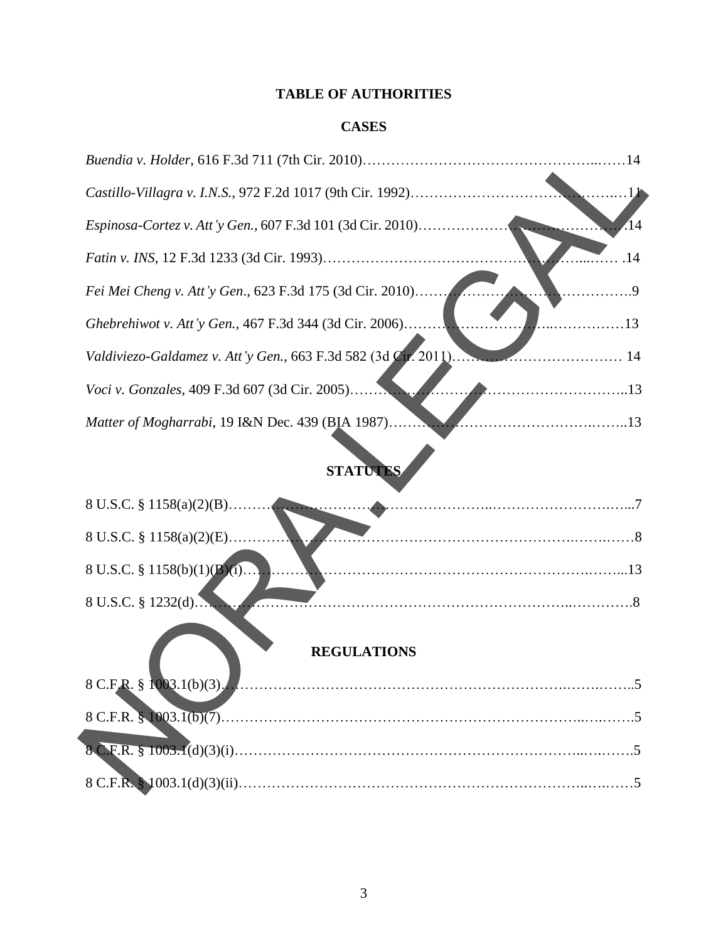# **TABLE OF AUTHORITIES**

## **CASES**

|                                                                 | .14 |
|-----------------------------------------------------------------|-----|
| Fei Mei Cheng v. Att'y Gen., 623 F.3d 175 (3d Cir. 2010)        |     |
| Ghebrehiwot v. Att'y Gen., 467 F.3d 344 (3d Cir. 2006)<br>. 13  |     |
| Valdiviezo-Galdamez v. Att'y Gen., 663 F.3d 582 (3d Cir. 2011). |     |
|                                                                 |     |
|                                                                 |     |

# **STATUTES**

| Espinosa-Cortez v. Att'y Gen., 607 F.3d 101 (3d Cir. 2010)      |
|-----------------------------------------------------------------|
| .14                                                             |
| Fei Mei Cheng v. Att'y Gen., 623 F.3d 175 (3d Cir. 2010)<br>.9  |
| Ghebrehiwot v. Att'y Gen., 467 F.3d 344 (3d Cir. 2006)<br>. 13  |
| Valdiviezo-Galdamez v. Att'y Gen., 663 F.3d 582 (3d Cir. 2011). |
| Voci v. Gonzales, 409 F.3d 607 (3d Cir. 2005)                   |
| Matter of Mogharrabi, 19 I&N Dec. 439 (BIA 1987)<br>$\cdots$    |
| <b>STATUTES</b>                                                 |
|                                                                 |
| 8 U.S.C. $\S 1158(a)(2)(E)$                                     |
| 8 U.S.C. § 1158(b)(1)(B)(1)                                     |
| 8 U.S.C. § 1232(d)                                              |
| <b>REGULATIONS</b>                                              |
|                                                                 |
|                                                                 |
|                                                                 |
|                                                                 |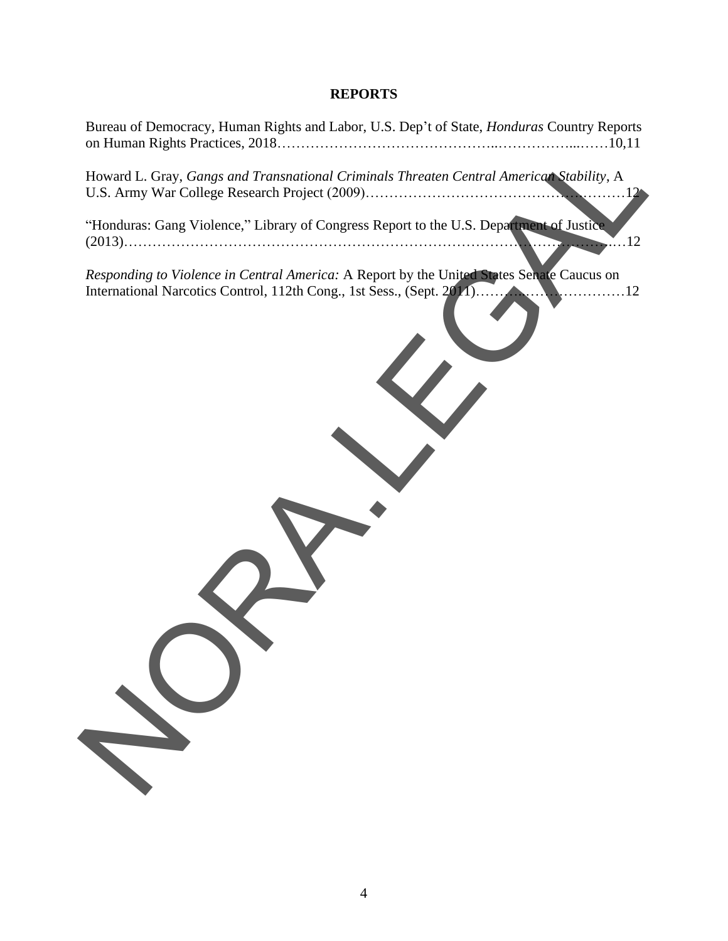### **REPORTS**

| Bureau of Democracy, Human Rights and Labor, U.S. Dep't of State, <i>Honduras</i> Country Reports                                                                  |
|--------------------------------------------------------------------------------------------------------------------------------------------------------------------|
| Howard L. Gray, Gangs and Transnational Criminals Threaten Central American Stability, A                                                                           |
| "Honduras: Gang Violence," Library of Congress Report to the U.S. Department of Justice<br>.12<br><u>.</u>                                                         |
| Responding to Violence in Central America: A Report by the United States Senate Caucus on<br>International Narcotics Control, 112th Cong., 1st Sess., (Sept. 2011) |
|                                                                                                                                                                    |
|                                                                                                                                                                    |
|                                                                                                                                                                    |
|                                                                                                                                                                    |
|                                                                                                                                                                    |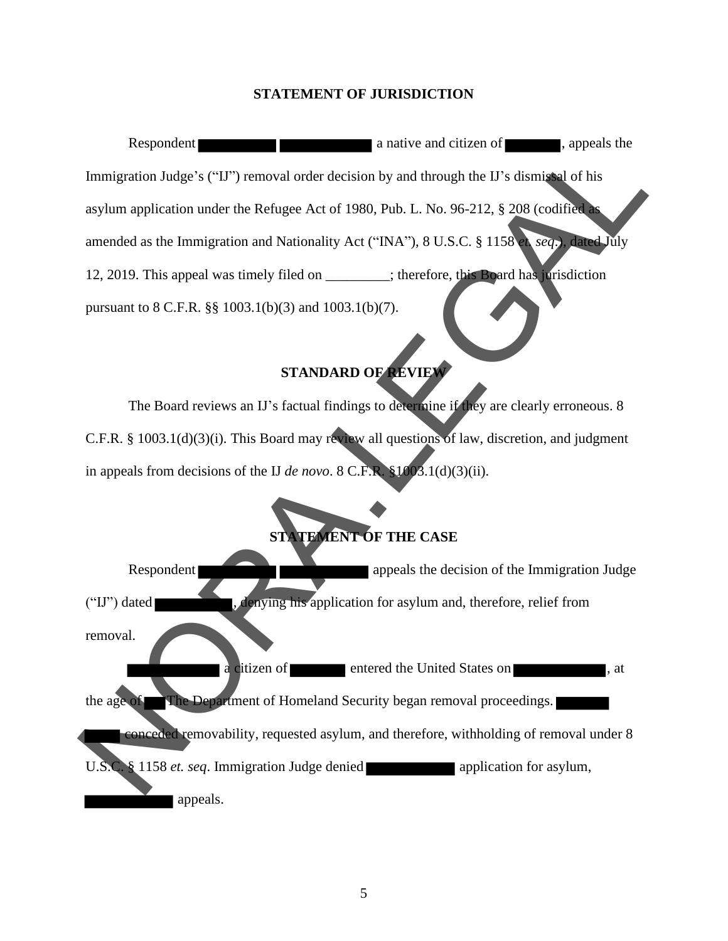#### **STATEMENT OF JURISDICTION**

Respondent **a** native and citizen of **a** native and citizen of **a** native and citizen of **a** native and citizen of **a** native and citizen of **a** native and citizen of **a** native and citizen of **a** native and citizen of **a** Immigration Judge's ("IJ") removal order decision by and through the IJ's dismissal of his asylum application under the Refugee Act of 1980, Pub. L. No. 96-212, § 208 (codified as amended as the Immigration and Nationality Act ("INA"), 8 U.S.C. § 1158 *et. seq*.), dated July 12, 2019. This appeal was timely filed on \_\_\_\_\_\_\_\_; therefore, this Board has jurisdiction pursuant to 8 C.F.R. §§ 1003.1(b)(3) and 1003.1(b)(7).

#### **STANDARD OF REVIEW**

The Board reviews an IJ's factual findings to determine if they are clearly erroneous. 8 C.F.R. § 1003.1(d)(3)(i). This Board may review all questions of law, discretion, and judgment in appeals from decisions of the IJ *de novo*. 8 C.F.R. §1003.1(d)(3)(ii).

# **STATEMENT OF THE CASE**

Respondent ("IJ") dated , denying his application for asylum and, therefore, relief from removal. citizen of entered the United States on , at the age of The Department of Homeland Security began removal proceedings. conceded removability, requested asylum, and therefore, withholding of removal under 8 U.S.C. § 1158 *et. seq*. Immigration Judge denied application for asylum, NORA.LEGAL appeals.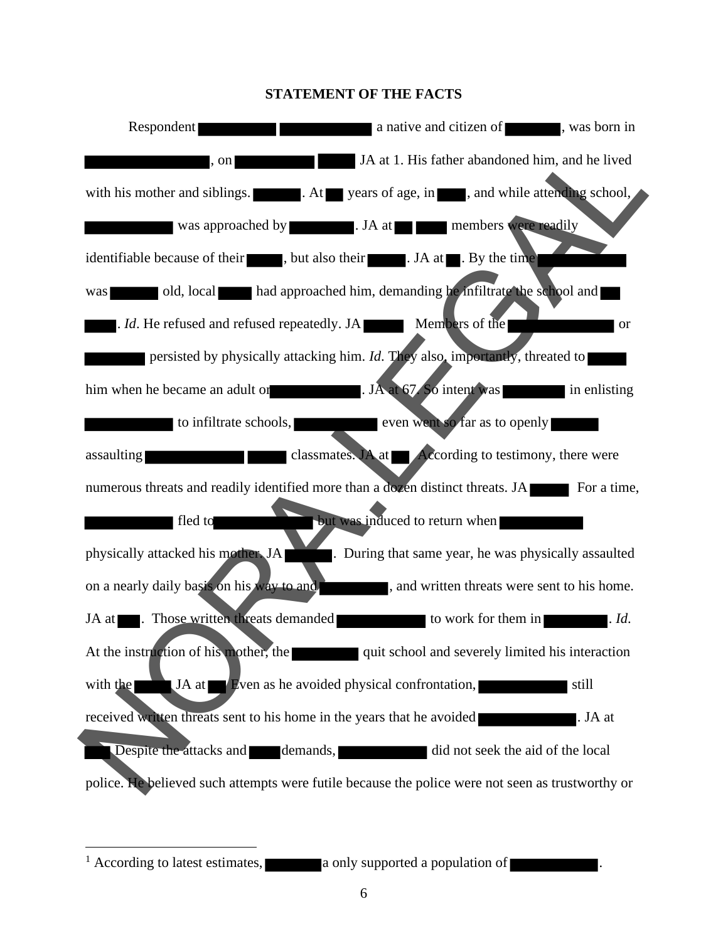#### **STATEMENT OF THE FACTS**



<sup>&</sup>lt;sup>1</sup> According to latest estimates, **a** only supported a population of  $\blacksquare$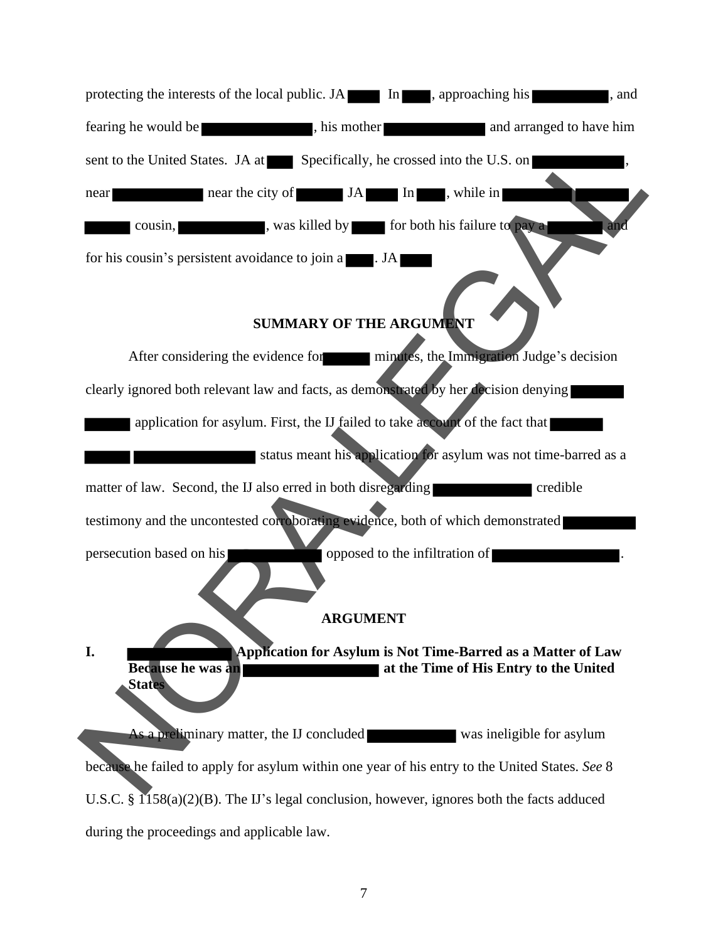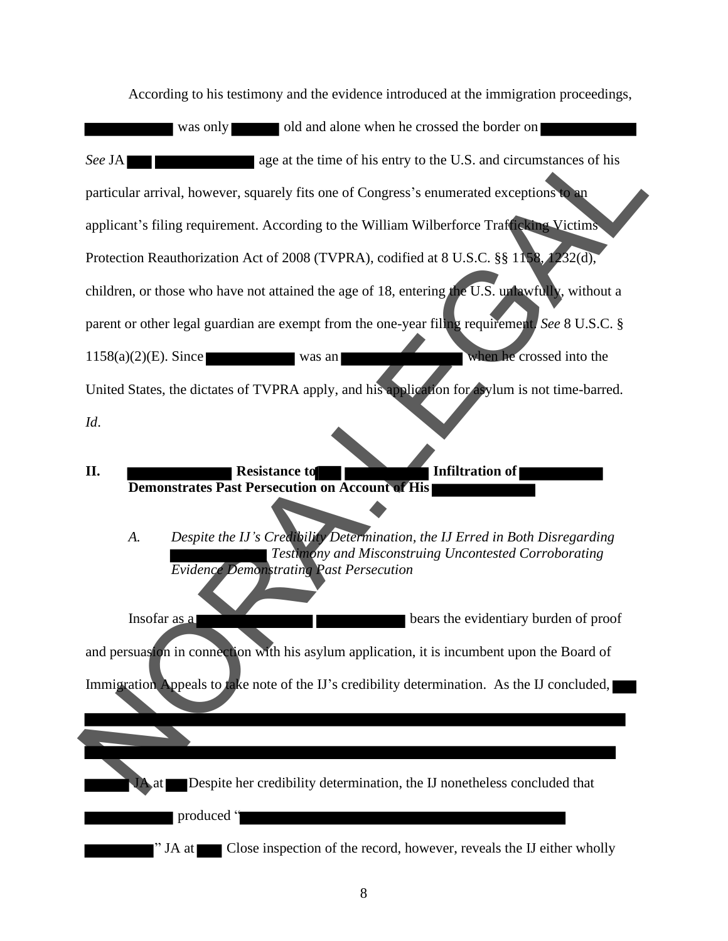According to his testimony and the evidence introduced at the immigration proceedings, was only old and alone when he crossed the border on *See* JA **and Contains 2.1 and See JA <b>a** age at the time of his entry to the U.S. and circumstances of his particular arrival, however, squarely fits one of Congress's enumerated exceptions to an applicant's filing requirement. According to the William Wilberforce Trafficking Victims Protection Reauthorization Act of 2008 (TVPRA), codified at 8 U.S.C. §§ 1158, 1232(d), children, or those who have not attained the age of 18, entering the U.S. unlawfully, without a parent or other legal guardian are exempt from the one-year filing requirement. *See* 8 U.S.C. §  $1158(a)(2)(E)$ . Since was an was an when he crossed into the United States, the dictates of TVPRA apply, and his application for asylum is not time-barred. *Id*. **II.** Resistance to Infiltration of **Demonstrates Past Persecution on Account of His**  *A. Despite the IJ's Credibility Determination, the IJ Erred in Both Disregarding Testimony and Misconstruing Uncontested Corroborating Evidence Demonstrating Past Persecution*  Insofar as a **bears** the evidentiary burden of proof and persuasion in connection with his asylum application, it is incumbent upon the Board of Immigration Appeals to take note of the IJ's credibility determination. As the IJ concluded, Despite her credibility determination, the IJ nonetheless concluded that See JA<br>
age at the time of his entry to the U.S. and circumstances of his<br>
particular arrival, however, squarely fits one of Congress's enumerated exceptions<br>
applicant's filing requirement. According to the William Wilber

produced "

" JA at Close inspection of the record, however, reveals the IJ either wholly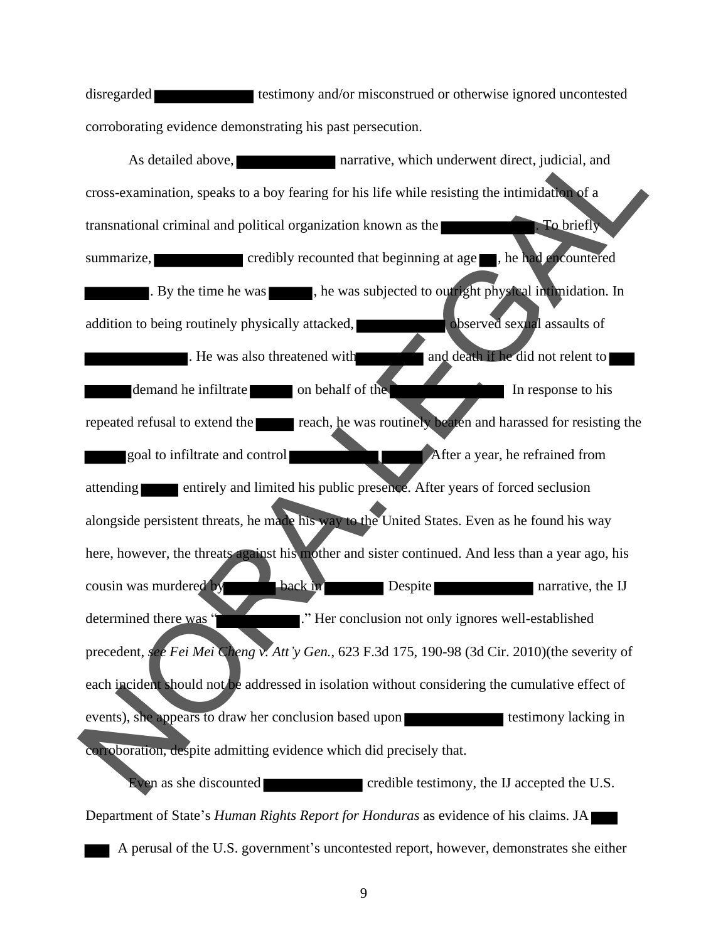disregarded testimony and/or misconstrued or otherwise ignored uncontested corroborating evidence demonstrating his past persecution.

As detailed above, narrative, which underwent direct, judicial, and cross-examination, speaks to a boy fearing for his life while resisting the intimidation of a transnational criminal and political organization known as the **. To briefly To briefly** summarize, credibly recounted that beginning at age , he had encountered . By the time he was  $\blacksquare$ , he was subjected to outright physical intimidation. In addition to being routinely physically attacked, observed sexual assaults of . He was also threatened with and death if he did not relent to demand he infiltrate on behalf of the International In response to his repeated refusal to extend the reach, he was routinely beaten and harassed for resisting the goal to infiltrate and control After a year, he refrained from attending entirely and limited his public presence. After years of forced seclusion alongside persistent threats, he made his way to the United States. Even as he found his way here, however, the threats against his mother and sister continued. And less than a year ago, his cousin was murdered by **back in back in Despite** narrative, the IJ determined there was " ..." Her conclusion not only ignores well-established precedent, *see Fei Mei Cheng v. Att'y Gen.*, 623 F.3d 175, 190-98 (3d Cir. 2010)(the severity of each incident should not be addressed in isolation without considering the cumulative effect of events), she appears to draw her conclusion based upon testimony lacking in corroboration, despite admitting evidence which did precisely that. Even as she discounted credible testimony, the IJ accepted the U.S. As detailed above,<br>
a narrative, which underwent direct, judicial, and<br>
remess-examination, speaks to a boy fearing for his life while resisting the intimidal<br>
transnational criminal and political organization known as the

Department of State's *Human Rights Report for Honduras* as evidence of his claims. JA A perusal of the U.S. government's uncontested report, however, demonstrates she either

9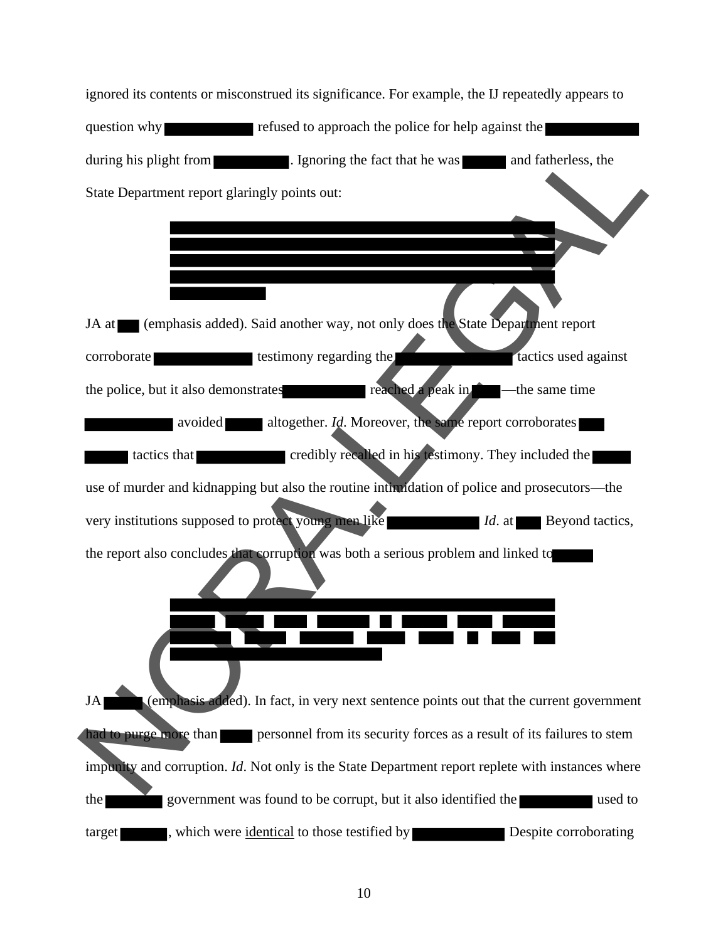ignored its contents or misconstrued its significance. For example, the IJ repeatedly appears to question why refused to approach the police for help against the during his plight from **the substitution**. Ignoring the fact that he was **a** and fatherless, the State Department report glaringly points out: JA at (emphasis added). Said another way, not only does the State Department report corroborate testimony regarding the tactics used against the police, but it also demonstrates reached a peak in —the same time avoided altogether. *Id*. Moreover, the same report corroborates tactics that credibly recalled in his testimony. They included the use of murder and kidnapping but also the routine intimidation of police and prosecutors—the very institutions supposed to protect young men like *Id.* at Beyond tactics, the report also concludes that corruption was both a serious problem and linked to JA (emphasis added). In fact, in very next sentence points out that the current government had to purge more than personnel from its security forces as a result of its failures to stem impunity and corruption. *Id*. Not only is the State Department report replete with instances where the government was found to be corrupt, but it also identified the used to target which were identical to those testified by **Example 2016** Despite corroborating during his plight from **Example 1.** Ignoring the fact that he was and fatherless, the<br>
State Department report glaringly points out:<br>
1A at **Example 1.** Consider the state of the state of the state of the state of the stat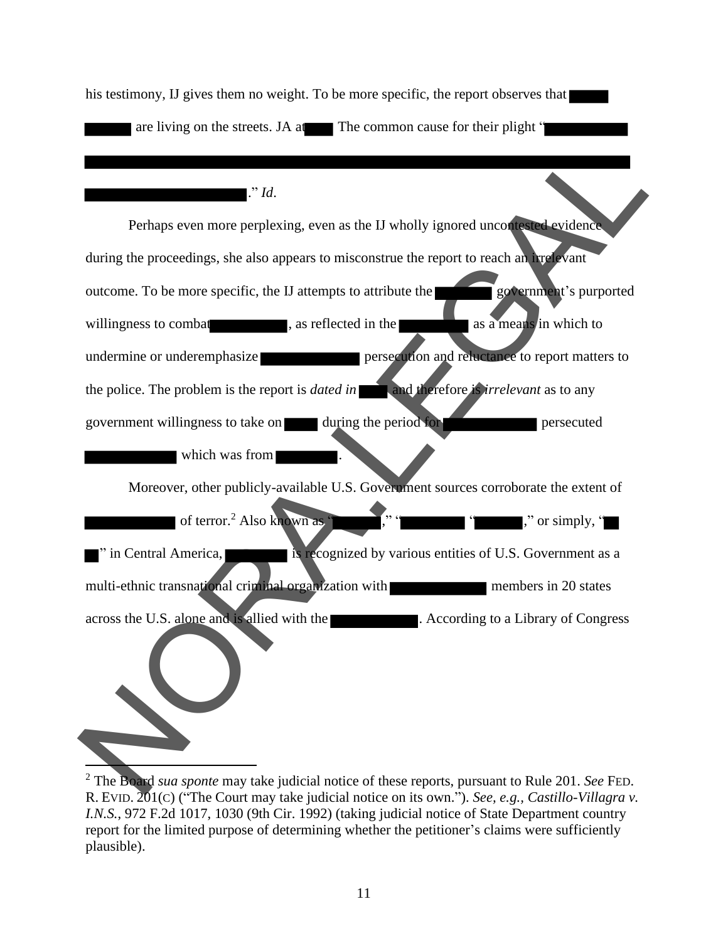his testimony, IJ gives them no weight. To be more specific, the report observes that are living on the streets. JA at The common cause for their plight "

#### ." *Id*.

Perhaps even more perplexing, even as the IJ wholly ignored uncontested evidence during the proceedings, she also appears to misconstrue the report to reach an irrelevant outcome. To be more specific, the IJ attempts to attribute the government's purported willingness to combat , as reflected in the as a means in which to undermine or underemphasize **persecution** and reluctance to report matters to the police. The problem is the report is *dated* in **and therefore is** *irrelevant* as to any government willingness to take on during the period for persecuted which was from Moreover, other publicly-available U.S. Government sources corroborate the extent of of terror.<sup>2</sup> Also known as  $\dddot{ }$  ," "  $\dddot{ }$  "  $\dddot{ }$  ," or simply, " " in Central America, is recognized by various entities of U.S. Government as a multi-ethnic transnational criminal organization with members in 20 states across the U.S. alone and is allied with the **.** According to a Library of Congress Perhaps even more perplexing, even as the *D* wholly ignored uncon-<br>
during the proceedings, she also appears to misconstruct the report to reach an any standard<br>
outcome. To be more specific, the *U* attempts to attribute

<sup>2</sup> The Board *sua sponte* may take judicial notice of these reports, pursuant to Rule 201. *See* FED. R. EVID. 201(C) ("The Court may take judicial notice on its own."). *See, e.g., Castillo-Villagra v. I.N.S.*, 972 F.2d 1017, 1030 (9th Cir. 1992) (taking judicial notice of State Department country report for the limited purpose of determining whether the petitioner's claims were sufficiently plausible).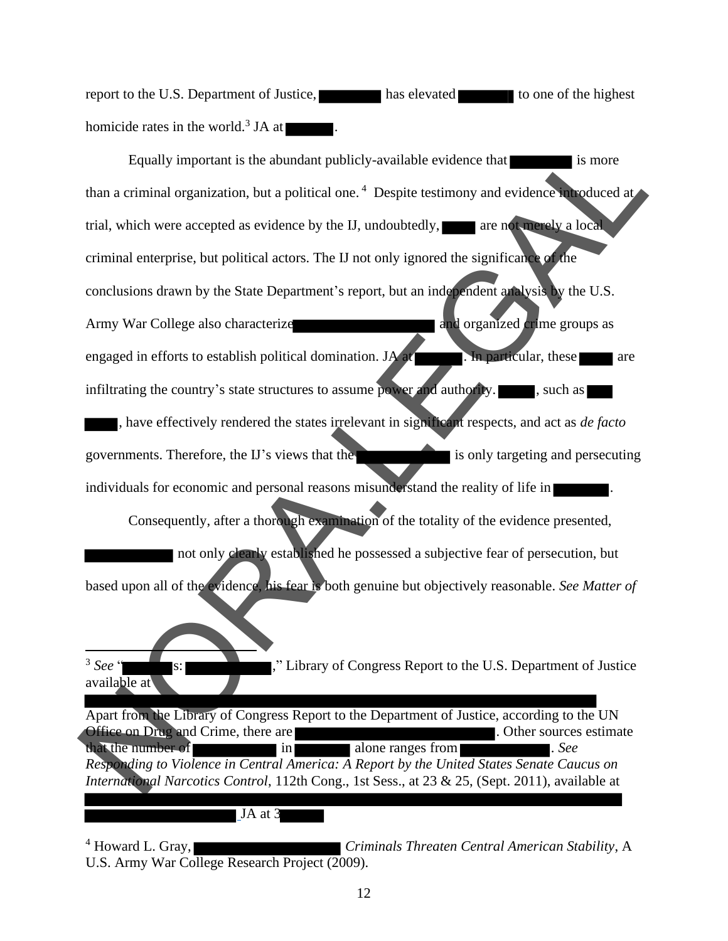report to the U.S. Department of Justice, has elevated to one of the highest homicide rates in the world.<sup>3</sup> JA at  $\blacksquare$ .

Equally important is the abundant publicly-available evidence that is more is more than a criminal organization, but a political one.<sup>4</sup> Despite testimony and evidence introduced at trial, which were accepted as evidence by the IJ, undoubtedly, are not merely a local criminal enterprise, but political actors. The IJ not only ignored the significance of the conclusions drawn by the State Department's report, but an independent analysis by the U.S. Army War College also characterize and organized crime groups as engaged in efforts to establish political domination. JA at  $\blacksquare$ . In particular, these are infiltrating the country's state structures to assume power and authority.  $\blacksquare$ , such as , have effectively rendered the states irrelevant in significant respects, and act as *de facto* governments. Therefore, the IJ's views that the is only targeting and persecuting individuals for economic and personal reasons misunderstand the reality of life in Consequently, after a thorough examination of the totality of the evidence presented, not only clearly established he possessed a subjective fear of persecution, but based upon all of the evidence, his fear is both genuine but objectively reasonable. *See Matter of*   $3$  See  $\cdot$ ," Library of Congress Report to the U.S. Department of Justice available at Apart from the Library of Congress Report to the Department of Justice, according to the UN Office on Drug and Crime, there are **the contract of the sources** of the sources estimate that the number of in alone ranges from . *See Responding to Violence in Central America: A Report by the United States Senate Caucus on International Narcotics Control*, 112th Cong., 1st Sess., at 23 & 25, (Sept. 2011), available at JA at 3 Equally important is the abundant publicly-available evidence that<br>
trial, which were accepted as evidence by the LI, undoubtedly,<br>
trial, which were accepted as evidence by the LI, undoubtedly,<br>
trial, which were accepted

<sup>4</sup> Howard L. Gray, *Criminals Threaten Central American Stability*, A U.S. Army War College Research Project (2009).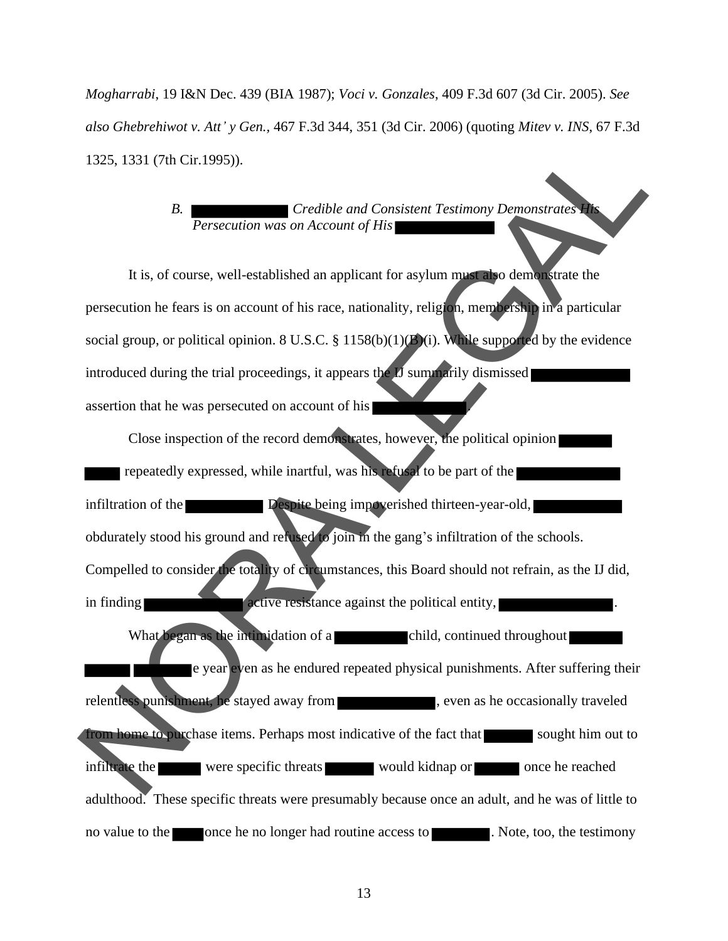*Mogharrabi*, 19 I&N Dec. 439 (BIA 1987); *Voci v. Gonzales*, 409 F.3d 607 (3d Cir. 2005). *See also Ghebrehiwot v. Att' y Gen.,* 467 F.3d 344, 351 (3d Cir. 2006) (quoting *Mitev v. INS*, 67 F.3d 1325, 1331 (7th Cir.1995)).

#### *B. Credible and Consistent Testimony Demonstrates His Persecution was on Account of His*

It is, of course, well-established an applicant for asylum must also demonstrate the persecution he fears is on account of his race, nationality, religion, membership in a particular social group, or political opinion. 8 U.S.C. § 1158(b)(1)(B)(i). While supported by the evidence introduced during the trial proceedings, it appears the IJ summarily dismissed assertion that he was persecuted on account of his

Close inspection of the record demonstrates, however, the political opinion repeatedly expressed, while inartful, was his refusal to be part of the infiltration of the **Despite** being impoverished thirteen-year-old, obdurately stood his ground and refused to join in the gang's infiltration of the schools. Compelled to consider the totality of circumstances, this Board should not refrain, as the IJ did, in finding active resistance against the political entity, What began as the intimidation of a child, continued throughout e year even as he endured repeated physical punishments. After suffering their relentless punishment, he stayed away from , even as he occasionally traveled from home to purchase items. Perhaps most indicative of the fact that sought him out to infiltrate the were specific threats would kidnap or once he reached adulthood. These specific threats were presumably because once an adult, and he was of little to no value to the once he no longer had routine access to . Note, too, the testimony 1325. 1331 (7th Cir.1995)).<br>
B. Persecution was on Account of His<br>
It is, of course, well-established an applicant for asytom must yo demonstrates<br>
It is, of course, well-established an applicant for asytom must yo demons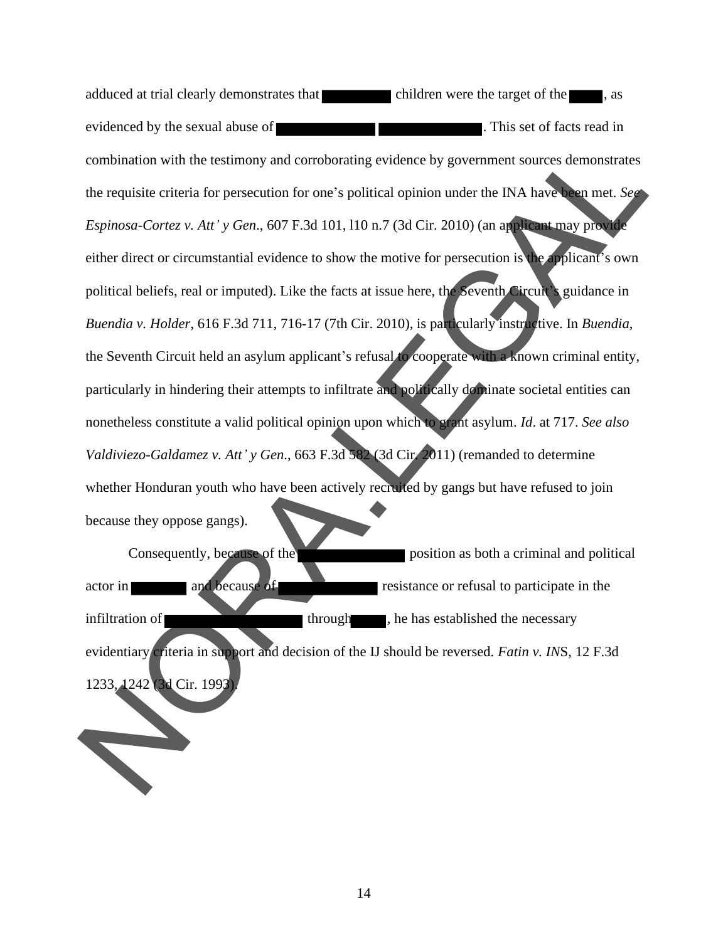adduced at trial clearly demonstrates that children were the target of the state  $\blacksquare$ , as evidenced by the sexual abuse of **EXECUTE:** This set of facts read in combination with the testimony and corroborating evidence by government sources demonstrates the requisite criteria for persecution for one's political opinion under the INA have been met. *See Espinosa-Cortez v. Att' y Gen*., 607 F.3d 101, l10 n.7 (3d Cir. 2010) (an applicant may provide either direct or circumstantial evidence to show the motive for persecution is the applicant's own political beliefs, real or imputed). Like the facts at issue here, the Seventh Circuit's guidance in *Buendia v. Holder*, 616 F.3d 711, 716-17 (7th Cir. 2010), is particularly instructive. In *Buendia*, the Seventh Circuit held an asylum applicant's refusal to cooperate with a known criminal entity, particularly in hindering their attempts to infiltrate and politically dominate societal entities can nonetheless constitute a valid political opinion upon which to grant asylum. *Id*. at 717. *See also Valdiviezo-Galdamez v. Att' y Gen*., 663 F.3d 582 (3d Cir. 2011) (remanded to determine whether Honduran youth who have been actively recruited by gangs but have refused to join because they oppose gangs). combination with the testimony and corroborating evidence by government sources demonstrates<br>the requisite criteria for persecution for one's political opinion under the INA have a met. Set<br>Explores Corteg v. Att' y Gen.,

Consequently, because of the position as both a criminal and political actor in and because of resistance or refusal to participate in the infiltration of **the contract of through**, he has established the necessary evidentiary criteria in support and decision of the IJ should be reversed. *Fatin v. IN*S, 12 F.3d 1233, 1242 (3d Cir. 199)